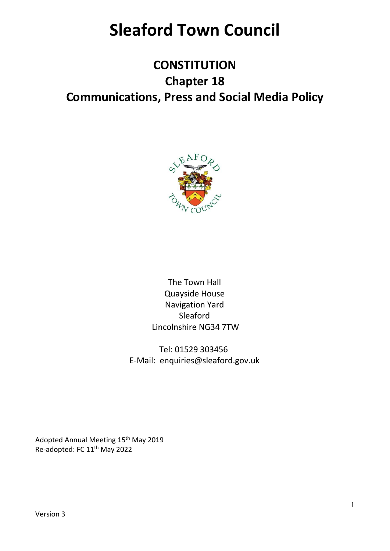# **Sleaford Town Council**

# **CONSTITUTION Chapter 18 Communications, Press and Social Media Policy**



The Town Hall Quayside House Navigation Yard Sleaford Lincolnshire NG34 7TW

Tel: 01529 303456 E-Mail: enquiries@sleaford.gov.uk

Adopted Annual Meeting 15<sup>th</sup> May 2019 Re-adopted: FC 11th May 2022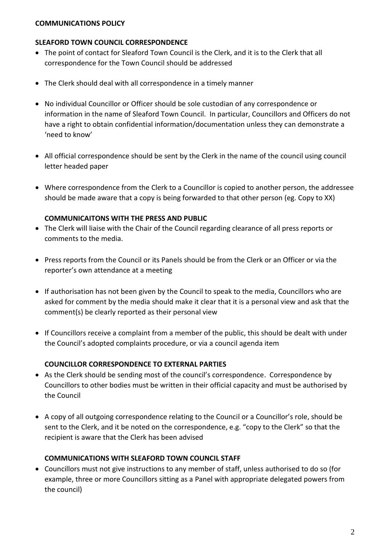#### **COMMUNICATIONS POLICY**

#### **SLEAFORD TOWN COUNCIL CORRESPONDENCE**

- The point of contact for Sleaford Town Council is the Clerk, and it is to the Clerk that all correspondence for the Town Council should be addressed
- The Clerk should deal with all correspondence in a timely manner
- No individual Councillor or Officer should be sole custodian of any correspondence or information in the name of Sleaford Town Council. In particular, Councillors and Officers do not have a right to obtain confidential information/documentation unless they can demonstrate a 'need to know'
- All official correspondence should be sent by the Clerk in the name of the council using council letter headed paper
- Where correspondence from the Clerk to a Councillor is copied to another person, the addressee should be made aware that a copy is being forwarded to that other person (eg. Copy to XX)

#### **COMMUNICAITONS WITH THE PRESS AND PUBLIC**

- The Clerk will liaise with the Chair of the Council regarding clearance of all press reports or comments to the media.
- Press reports from the Council or its Panels should be from the Clerk or an Officer or via the reporter's own attendance at a meeting
- If authorisation has not been given by the Council to speak to the media, Councillors who are asked for comment by the media should make it clear that it is a personal view and ask that the comment(s) be clearly reported as their personal view
- If Councillors receive a complaint from a member of the public, this should be dealt with under the Council's adopted complaints procedure, or via a council agenda item

#### **COUNCILLOR CORRESPONDENCE TO EXTERNAL PARTIES**

- As the Clerk should be sending most of the council's correspondence. Correspondence by Councillors to other bodies must be written in their official capacity and must be authorised by the Council
- A copy of all outgoing correspondence relating to the Council or a Councillor's role, should be sent to the Clerk, and it be noted on the correspondence, e.g. "copy to the Clerk" so that the recipient is aware that the Clerk has been advised

#### **COMMUNICATIONS WITH SLEAFORD TOWN COUNCIL STAFF**

• Councillors must not give instructions to any member of staff, unless authorised to do so (for example, three or more Councillors sitting as a Panel with appropriate delegated powers from the council)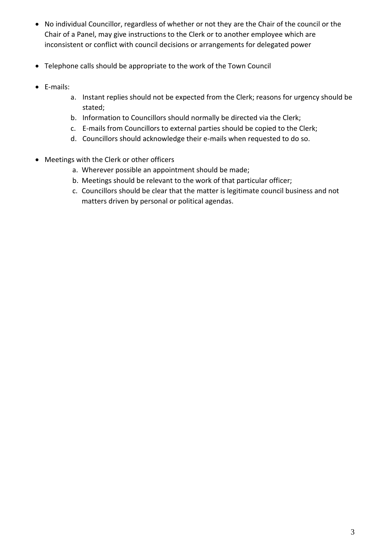- No individual Councillor, regardless of whether or not they are the Chair of the council or the Chair of a Panel, may give instructions to the Clerk or to another employee which are inconsistent or conflict with council decisions or arrangements for delegated power
- Telephone calls should be appropriate to the work of the Town Council
- E-mails:
	- a. Instant replies should not be expected from the Clerk; reasons for urgency should be stated;
	- b. Information to Councillors should normally be directed via the Clerk;
	- c. E-mails from Councillors to external parties should be copied to the Clerk;
	- d. Councillors should acknowledge their e-mails when requested to do so.
- Meetings with the Clerk or other officers
	- a. Wherever possible an appointment should be made;
	- b. Meetings should be relevant to the work of that particular officer;
	- c. Councillors should be clear that the matter is legitimate council business and not matters driven by personal or political agendas.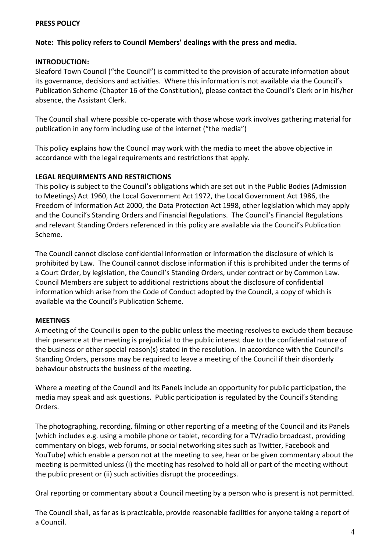#### **PRESS POLICY**

#### **Note: This policy refers to Council Members' dealings with the press and media.**

#### **INTRODUCTION:**

Sleaford Town Council ("the Council") is committed to the provision of accurate information about its governance, decisions and activities. Where this information is not available via the Council's Publication Scheme (Chapter 16 of the Constitution), please contact the Council's Clerk or in his/her absence, the Assistant Clerk.

The Council shall where possible co-operate with those whose work involves gathering material for publication in any form including use of the internet ("the media")

This policy explains how the Council may work with the media to meet the above objective in accordance with the legal requirements and restrictions that apply.

#### **LEGAL REQUIRMENTS AND RESTRICTIONS**

This policy is subject to the Council's obligations which are set out in the Public Bodies (Admission to Meetings) Act 1960, the Local Government Act 1972, the Local Government Act 1986, the Freedom of Information Act 2000, the Data Protection Act 1998, other legislation which may apply and the Council's Standing Orders and Financial Regulations. The Council's Financial Regulations and relevant Standing Orders referenced in this policy are available via the Council's Publication Scheme.

The Council cannot disclose confidential information or information the disclosure of which is prohibited by Law. The Council cannot disclose information if this is prohibited under the terms of a Court Order, by legislation, the Council's Standing Orders, under contract or by Common Law. Council Members are subject to additional restrictions about the disclosure of confidential information which arise from the Code of Conduct adopted by the Council, a copy of which is available via the Council's Publication Scheme.

#### **MEETINGS**

A meeting of the Council is open to the public unless the meeting resolves to exclude them because their presence at the meeting is prejudicial to the public interest due to the confidential nature of the business or other special reason(s) stated in the resolution. In accordance with the Council's Standing Orders, persons may be required to leave a meeting of the Council if their disorderly behaviour obstructs the business of the meeting.

Where a meeting of the Council and its Panels include an opportunity for public participation, the media may speak and ask questions. Public participation is regulated by the Council's Standing Orders.

The photographing, recording, filming or other reporting of a meeting of the Council and its Panels (which includes e.g. using a mobile phone or tablet, recording for a TV/radio broadcast, providing commentary on blogs, web forums, or social networking sites such as Twitter, Facebook and YouTube) which enable a person not at the meeting to see, hear or be given commentary about the meeting is permitted unless (i) the meeting has resolved to hold all or part of the meeting without the public present or (ii) such activities disrupt the proceedings.

Oral reporting or commentary about a Council meeting by a person who is present is not permitted.

The Council shall, as far as is practicable, provide reasonable facilities for anyone taking a report of a Council.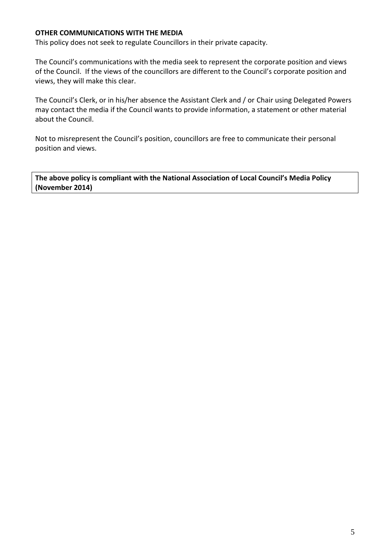#### **OTHER COMMUNICATIONS WITH THE MEDIA**

This policy does not seek to regulate Councillors in their private capacity.

The Council's communications with the media seek to represent the corporate position and views of the Council. If the views of the councillors are different to the Council's corporate position and views, they will make this clear.

The Council's Clerk, or in his/her absence the Assistant Clerk and / or Chair using Delegated Powers may contact the media if the Council wants to provide information, a statement or other material about the Council.

Not to misrepresent the Council's position, councillors are free to communicate their personal position and views.

**The above policy is compliant with the National Association of Local Council's Media Policy (November 2014)**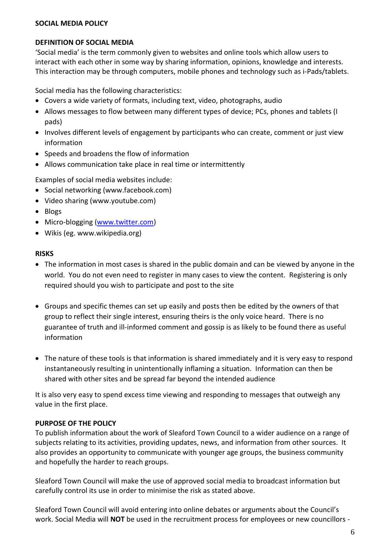#### **SOCIAL MEDIA POLICY**

#### **DEFINITION OF SOCIAL MEDIA**

'Social media' is the term commonly given to websites and online tools which allow users to interact with each other in some way by sharing information, opinions, knowledge and interests. This interaction may be through computers, mobile phones and technology such as i-Pads/tablets.

Social media has the following characteristics:

- Covers a wide variety of formats, including text, video, photographs, audio
- Allows messages to flow between many different types of device; PCs, phones and tablets (I pads)
- Involves different levels of engagement by participants who can create, comment or just view information
- Speeds and broadens the flow of information
- Allows communication take place in real time or intermittently

Examples of social media websites include:

- Social networking (www.facebook.com)
- Video sharing (www.youtube.com)
- Blogs
- Micro-blogging [\(www.twitter.com\)](http://www.twitter.com/)
- Wikis (eg. www.wikipedia.org)

#### **RISKS**

- The information in most cases is shared in the public domain and can be viewed by anyone in the world. You do not even need to register in many cases to view the content. Registering is only required should you wish to participate and post to the site
- Groups and specific themes can set up easily and posts then be edited by the owners of that group to reflect their single interest, ensuring theirs is the only voice heard. There is no guarantee of truth and ill-informed comment and gossip is as likely to be found there as useful information
- The nature of these tools is that information is shared immediately and it is very easy to respond instantaneously resulting in unintentionally inflaming a situation. Information can then be shared with other sites and be spread far beyond the intended audience

It is also very easy to spend excess time viewing and responding to messages that outweigh any value in the first place.

#### **PURPOSE OF THE POLICY**

To publish information about the work of Sleaford Town Council to a wider audience on a range of subjects relating to its activities, providing updates, news, and information from other sources. It also provides an opportunity to communicate with younger age groups, the business community and hopefully the harder to reach groups.

Sleaford Town Council will make the use of approved social media to broadcast information but carefully control its use in order to minimise the risk as stated above.

Sleaford Town Council will avoid entering into online debates or arguments about the Council's work. Social Media will **NOT** be used in the recruitment process for employees or new councillors -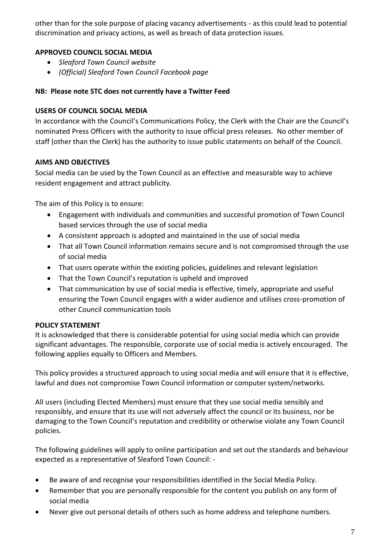other than for the sole purpose of placing vacancy advertisements - as this could lead to potential discrimination and privacy actions, as well as breach of data protection issues.

# **APPROVED COUNCIL SOCIAL MEDIA**

- *Sleaford Town Council website*
- *(Official) Sleaford Town Council Facebook page*

#### **NB: Please note STC does not currently have a Twitter Feed**

#### **USERS OF COUNCIL SOCIAL MEDIA**

In accordance with the Council's Communications Policy, the Clerk with the Chair are the Council's nominated Press Officers with the authority to issue official press releases. No other member of staff (other than the Clerk) has the authority to issue public statements on behalf of the Council.

#### **AIMS AND OBJECTIVES**

Social media can be used by the Town Council as an effective and measurable way to achieve resident engagement and attract publicity.

The aim of this Policy is to ensure:

- Engagement with individuals and communities and successful promotion of Town Council based services through the use of social media
- A consistent approach is adopted and maintained in the use of social media
- That all Town Council information remains secure and is not compromised through the use of social media
- That users operate within the existing policies, guidelines and relevant legislation
- That the Town Council's reputation is upheld and improved
- That communication by use of social media is effective, timely, appropriate and useful ensuring the Town Council engages with a wider audience and utilises cross-promotion of other Council communication tools

#### **POLICY STATEMENT**

It is acknowledged that there is considerable potential for using social media which can provide significant advantages. The responsible, corporate use of social media is actively encouraged. The following applies equally to Officers and Members.

This policy provides a structured approach to using social media and will ensure that it is effective, lawful and does not compromise Town Council information or computer system/networks.

All users (including Elected Members) must ensure that they use social media sensibly and responsibly, and ensure that its use will not adversely affect the council or its business, nor be damaging to the Town Council's reputation and credibility or otherwise violate any Town Council policies.

The following guidelines will apply to online participation and set out the standards and behaviour expected as a representative of Sleaford Town Council: -

- Be aware of and recognise your responsibilities identified in the Social Media Policy.
- Remember that you are personally responsible for the content you publish on any form of social media
- Never give out personal details of others such as home address and telephone numbers.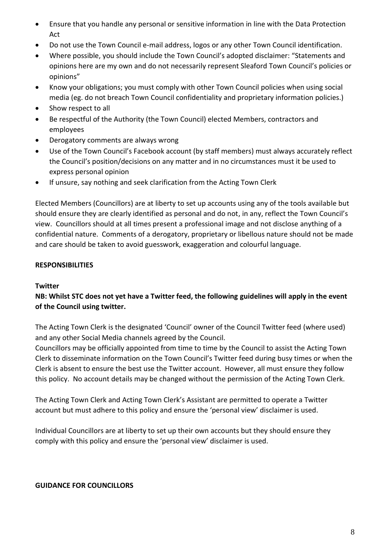- Ensure that you handle any personal or sensitive information in line with the Data Protection Act
- Do not use the Town Council e-mail address, logos or any other Town Council identification.
- Where possible, you should include the Town Council's adopted disclaimer: "Statements and opinions here are my own and do not necessarily represent Sleaford Town Council's policies or opinions"
- Know your obligations; you must comply with other Town Council policies when using social media (eg. do not breach Town Council confidentiality and proprietary information policies.)
- Show respect to all
- Be respectful of the Authority (the Town Council) elected Members, contractors and employees
- Derogatory comments are always wrong
- Use of the Town Council's Facebook account (by staff members) must always accurately reflect the Council's position/decisions on any matter and in no circumstances must it be used to express personal opinion
- If unsure, say nothing and seek clarification from the Acting Town Clerk

Elected Members (Councillors) are at liberty to set up accounts using any of the tools available but should ensure they are clearly identified as personal and do not, in any, reflect the Town Council's view. Councillors should at all times present a professional image and not disclose anything of a confidential nature. Comments of a derogatory, proprietary or libellous nature should not be made and care should be taken to avoid guesswork, exaggeration and colourful language.

# **RESPONSIBILITIES**

# **Twitter**

# **NB: Whilst STC does not yet have a Twitter feed, the following guidelines will apply in the event of the Council using twitter.**

The Acting Town Clerk is the designated 'Council' owner of the Council Twitter feed (where used) and any other Social Media channels agreed by the Council.

Councillors may be officially appointed from time to time by the Council to assist the Acting Town Clerk to disseminate information on the Town Council's Twitter feed during busy times or when the Clerk is absent to ensure the best use the Twitter account. However, all must ensure they follow this policy. No account details may be changed without the permission of the Acting Town Clerk.

The Acting Town Clerk and Acting Town Clerk's Assistant are permitted to operate a Twitter account but must adhere to this policy and ensure the 'personal view' disclaimer is used.

Individual Councillors are at liberty to set up their own accounts but they should ensure they comply with this policy and ensure the 'personal view' disclaimer is used.

# **GUIDANCE FOR COUNCILLORS**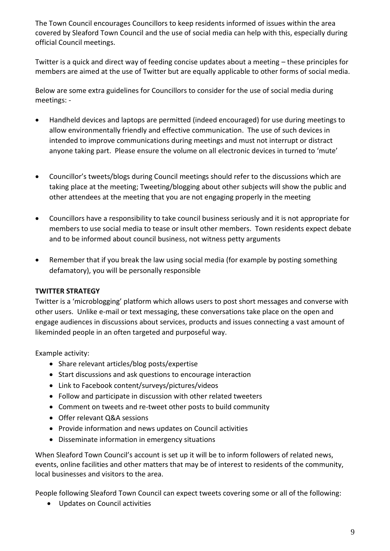The Town Council encourages Councillors to keep residents informed of issues within the area covered by Sleaford Town Council and the use of social media can help with this, especially during official Council meetings.

Twitter is a quick and direct way of feeding concise updates about a meeting – these principles for members are aimed at the use of Twitter but are equally applicable to other forms of social media.

Below are some extra guidelines for Councillors to consider for the use of social media during meetings: -

- Handheld devices and laptops are permitted (indeed encouraged) for use during meetings to allow environmentally friendly and effective communication. The use of such devices in intended to improve communications during meetings and must not interrupt or distract anyone taking part. Please ensure the volume on all electronic devices in turned to 'mute'
- Councillor's tweets/blogs during Council meetings should refer to the discussions which are taking place at the meeting; Tweeting/blogging about other subjects will show the public and other attendees at the meeting that you are not engaging properly in the meeting
- Councillors have a responsibility to take council business seriously and it is not appropriate for members to use social media to tease or insult other members. Town residents expect debate and to be informed about council business, not witness petty arguments
- Remember that if you break the law using social media (for example by posting something defamatory), you will be personally responsible

#### **TWITTER STRATEGY**

Twitter is a 'microblogging' platform which allows users to post short messages and converse with other users. Unlike e-mail or text messaging, these conversations take place on the open and engage audiences in discussions about services, products and issues connecting a vast amount of likeminded people in an often targeted and purposeful way.

Example activity:

- Share relevant articles/blog posts/expertise
- Start discussions and ask questions to encourage interaction
- Link to Facebook content/surveys/pictures/videos
- Follow and participate in discussion with other related tweeters
- Comment on tweets and re-tweet other posts to build community
- Offer relevant Q&A sessions
- Provide information and news updates on Council activities
- Disseminate information in emergency situations

When Sleaford Town Council's account is set up it will be to inform followers of related news, events, online facilities and other matters that may be of interest to residents of the community, local businesses and visitors to the area.

People following Sleaford Town Council can expect tweets covering some or all of the following:

• Updates on Council activities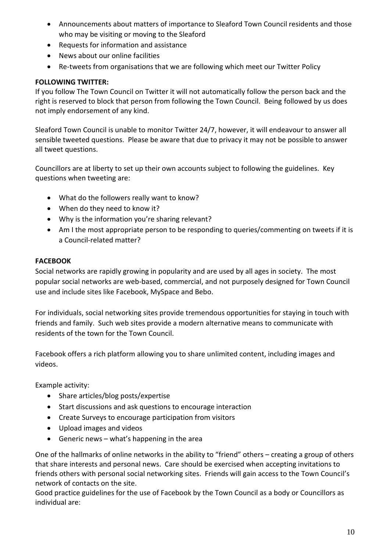- Announcements about matters of importance to Sleaford Town Council residents and those who may be visiting or moving to the Sleaford
- Requests for information and assistance
- News about our online facilities
- Re-tweets from organisations that we are following which meet our Twitter Policy

# **FOLLOWING TWITTER:**

If you follow The Town Council on Twitter it will not automatically follow the person back and the right is reserved to block that person from following the Town Council. Being followed by us does not imply endorsement of any kind.

Sleaford Town Council is unable to monitor Twitter 24/7, however, it will endeavour to answer all sensible tweeted questions. Please be aware that due to privacy it may not be possible to answer all tweet questions.

Councillors are at liberty to set up their own accounts subject to following the guidelines. Key questions when tweeting are:

- What do the followers really want to know?
- When do they need to know it?
- Why is the information you're sharing relevant?
- Am I the most appropriate person to be responding to queries/commenting on tweets if it is a Council-related matter?

# **FACEBOOK**

Social networks are rapidly growing in popularity and are used by all ages in society. The most popular social networks are web-based, commercial, and not purposely designed for Town Council use and include sites like Facebook, MySpace and Bebo.

For individuals, social networking sites provide tremendous opportunities for staying in touch with friends and family. Such web sites provide a modern alternative means to communicate with residents of the town for the Town Council.

Facebook offers a rich platform allowing you to share unlimited content, including images and videos.

Example activity:

- Share articles/blog posts/expertise
- Start discussions and ask questions to encourage interaction
- Create Surveys to encourage participation from visitors
- Upload images and videos
- Generic news what's happening in the area

One of the hallmarks of online networks in the ability to "friend" others – creating a group of others that share interests and personal news. Care should be exercised when accepting invitations to friends others with personal social networking sites. Friends will gain access to the Town Council's network of contacts on the site.

Good practice guidelines for the use of Facebook by the Town Council as a body or Councillors as individual are: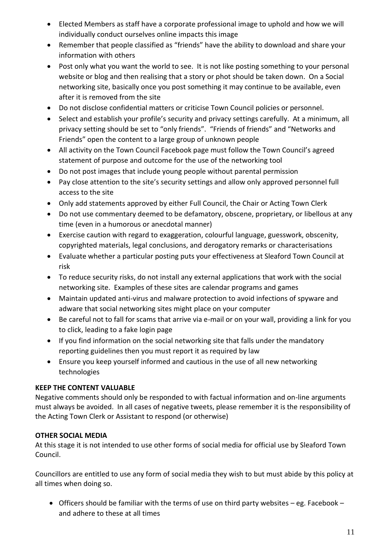- Elected Members as staff have a corporate professional image to uphold and how we will individually conduct ourselves online impacts this image
- Remember that people classified as "friends" have the ability to download and share your information with others
- Post only what you want the world to see. It is not like posting something to your personal website or blog and then realising that a story or phot should be taken down. On a Social networking site, basically once you post something it may continue to be available, even after it is removed from the site
- Do not disclose confidential matters or criticise Town Council policies or personnel.
- Select and establish your profile's security and privacy settings carefully. At a minimum, all privacy setting should be set to "only friends". "Friends of friends" and "Networks and Friends" open the content to a large group of unknown people
- All activity on the Town Council Facebook page must follow the Town Council's agreed statement of purpose and outcome for the use of the networking tool
- Do not post images that include young people without parental permission
- Pay close attention to the site's security settings and allow only approved personnel full access to the site
- Only add statements approved by either Full Council, the Chair or Acting Town Clerk
- Do not use commentary deemed to be defamatory, obscene, proprietary, or libellous at any time (even in a humorous or anecdotal manner)
- Exercise caution with regard to exaggeration, colourful language, guesswork, obscenity, copyrighted materials, legal conclusions, and derogatory remarks or characterisations
- Evaluate whether a particular posting puts your effectiveness at Sleaford Town Council at risk
- To reduce security risks, do not install any external applications that work with the social networking site. Examples of these sites are calendar programs and games
- Maintain updated anti-virus and malware protection to avoid infections of spyware and adware that social networking sites might place on your computer
- Be careful not to fall for scams that arrive via e-mail or on your wall, providing a link for you to click, leading to a fake login page
- If you find information on the social networking site that falls under the mandatory reporting guidelines then you must report it as required by law
- Ensure you keep yourself informed and cautious in the use of all new networking technologies

# **KEEP THE CONTENT VALUABLE**

Negative comments should only be responded to with factual information and on-line arguments must always be avoided. In all cases of negative tweets, please remember it is the responsibility of the Acting Town Clerk or Assistant to respond (or otherwise)

# **OTHER SOCIAL MEDIA**

At this stage it is not intended to use other forms of social media for official use by Sleaford Town Council.

Councillors are entitled to use any form of social media they wish to but must abide by this policy at all times when doing so.

• Officers should be familiar with the terms of use on third party websites – eg. Facebook – and adhere to these at all times